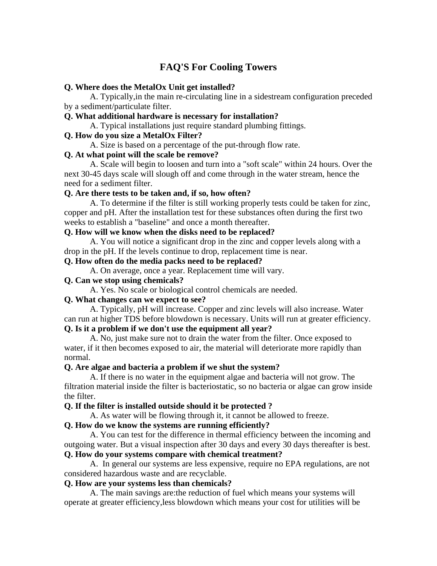# **FAQ'S For Cooling Towers**

### **Q. Where does the MetalOx Unit get installed?**

 A. Typically,in the main re-circulating line in a sidestream configuration preceded by a sediment/particulate filter.

### **Q. What additional hardware is necessary for installation?**

A. Typical installations just require standard plumbing fittings.

### **Q. How do you size a MetalOx Filter?**

A. Size is based on a percentage of the put-through flow rate.

### **Q. At what point will the scale be remove?**

 A. Scale will begin to loosen and turn into a "soft scale" within 24 hours. Over the next 30-45 days scale will slough off and come through in the water stream, hence the need for a sediment filter.

### **Q. Are there tests to be taken and, if so, how often?**

 A. To determine if the filter is still working properly tests could be taken for zinc, copper and pH. After the installation test for these substances often during the first two weeks to establish a "baseline" and once a month thereafter.

## **Q. How will we know when the disks need to be replaced?**

 A. You will notice a significant drop in the zinc and copper levels along with a drop in the pH. If the levels continue to drop, replacement time is near.

#### **Q. How often do the media packs need to be replaced?**

A. On average, once a year. Replacement time will vary.

## **Q. Can we stop using chemicals?**

A. Yes. No scale or biological control chemicals are needed.

## **Q. What changes can we expect to see?**

 A. Typically, pH will increase. Copper and zinc levels will also increase. Water can run at higher TDS before blowdown is necessary. Units will run at greater efficiency. **Q. Is it a problem if we don't use the equipment all year?** 

 A. No, just make sure not to drain the water from the filter. Once exposed to water, if it then becomes exposed to air, the material will deteriorate more rapidly than normal.

## **Q. Are algae and bacteria a problem if we shut the system?**

 A. If there is no water in the equipment algae and bacteria will not grow. The filtration material inside the filter is bacteriostatic, so no bacteria or algae can grow inside the filter.

## **Q. If the filter is installed outside should it be protected ?**

A. As water will be flowing through it, it cannot be allowed to freeze.

### **Q. How do we know the systems are running efficiently?**

 A. You can test for the difference in thermal efficiency between the incoming and outgoing water. But a visual inspection after 30 days and every 30 days thereafter is best.

## **Q. How do your systems compare with chemical treatment?**

 A. In general our systems are less expensive, require no EPA regulations, are not considered hazardous waste and are recyclable.

#### **Q. How are your systems less than chemicals?**

 A. The main savings are:the reduction of fuel which means your systems will operate at greater efficiency,less blowdown which means your cost for utilities will be